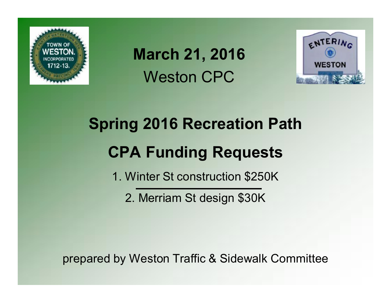

**March 21, 2016** Weston CPC



# **Spring 2016 Recreation Path CPA Funding Requests**

1. Winter St construction \$250K

2. Merriam St design \$30K

prepared by Weston Traffic & Sidewalk Committee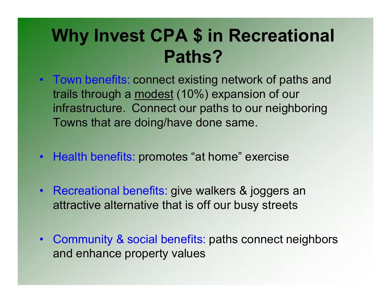# **Why Invest CPA \$ in Recreational Paths?**

- Town benefits: connect existing network of paths and trails through a modest (10%) expansion of our infrastructure. Connect our paths to our neighboring Towns that are doing/have done same.
- Health benefits: promotes "at home" exercise
- Recreational benefits: give walkers & joggers an attractive alternative that is off our busy streets
- Community & social benefits: paths connect neighbors and enhance property values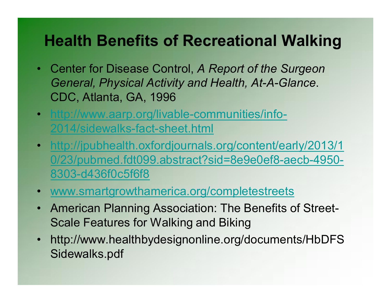#### **Health Benefits of Recreational Walking**

- Center for Disease Control, *A Report of the Surgeon General, Physical Activity and Health, At-A-Glance*. CDC, Atlanta, GA, 1996
- http://www.aarp.org/livable-communities/info-2014/sidewalks-fact-sheet.html
- http://jpubhealth.oxfordjournals.org/content/early/2013/1 0/23/pubmed.fdt099.abstract?sid=8e9e0ef8-aecb-4950- 8303-d436f0c5f6f8
- www.smartgrowthamerica.org/completestreets
- American Planning Association: The Benefits of Street-Scale Features for Walking and Biking
- http://www.healthbydesignonline.org/documents/HbDFS Sidewalks.pdf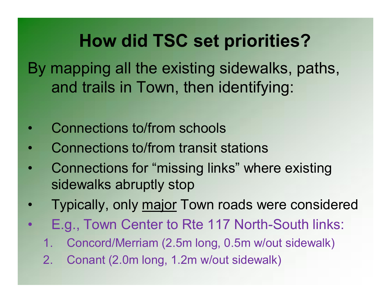# **How did TSC set priorities?**

By mapping all the existing sidewalks, paths, and trails in Town, then identifying:

- Connections to/from schools
- Connections to/from transit stations
- Connections for "missing links" where existing sidewalks abruptly stop
- Typically, only major Town roads were considered
- E.g., Town Center to Rte 117 North-South links:
	- 1. Concord/Merriam (2.5m long, 0.5m w/out sidewalk)
	- 2. Conant (2.0m long, 1.2m w/out sidewalk)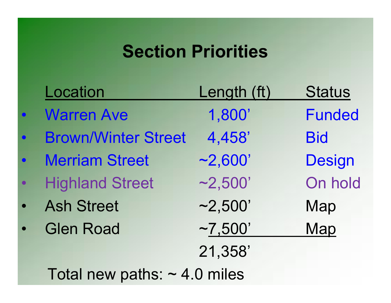### **Section Priorities**

|           | Location                   | Length (ft) | <b>Status</b> |
|-----------|----------------------------|-------------|---------------|
| $\bullet$ | <b>Warren Ave</b>          | 1,800'      | <b>Funded</b> |
| $\bullet$ | <b>Brown/Winter Street</b> | 4,458'      | <b>Bid</b>    |
| $\bullet$ | <b>Merriam Street</b>      | $-2,600'$   | <b>Design</b> |
| $\bullet$ | <b>Highland Street</b>     | $-2,500'$   | On hold       |
| $\bullet$ | <b>Ash Street</b>          | $-2,500'$   | Map           |
|           | <b>Glen Road</b>           | ~17,500'    | Map           |
|           |                            | 21,358'     |               |
|           |                            |             |               |

Total new paths: ~ 4.0 miles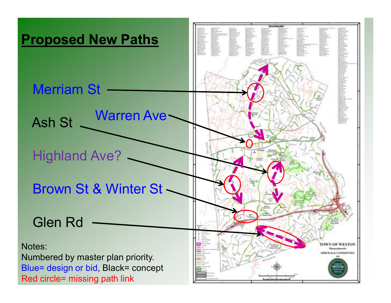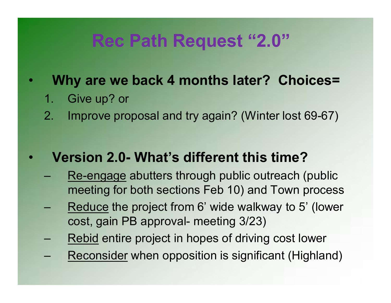### **Rec Path Request "2.0"**

- **Why are we back 4 months later? Choices=**
	- 1. Give up? or
	- 2. Improve proposal and try again? (Winter lost 69-67)

#### • **Version 2.0- What's different this time?**

- Re-engage abutters through public outreach (public meeting for both sections Feb 10) and Town process
- Reduce the project from 6' wide walkway to 5' (lower cost, gain PB approval- meeting 3/23)
- Rebid entire project in hopes of driving cost lower
- Reconsider when opposition is significant (Highland)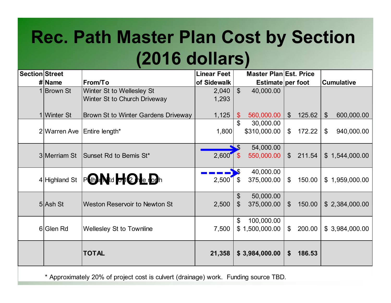# **Rec. Path Master Plan Cost by Section (2016 dollars)**

| Section Street |                 |                                      | <b>Linear Feet</b> |                           | <b>Master Plan Est. Price</b> |                |          |                |                   |
|----------------|-----------------|--------------------------------------|--------------------|---------------------------|-------------------------------|----------------|----------|----------------|-------------------|
|                | $#$  Name       | <b>From/To</b>                       | of Sidewalk        |                           | Estimate per foot             |                |          |                | <b>Cumulative</b> |
|                | 1 Brown St      | Winter St to Wellesley St            | 2,040              | $\mathbb{S}$              | 40,000.00                     |                |          |                |                   |
|                |                 | Winter St to Church Driveway         | 1,293              |                           |                               |                |          |                |                   |
|                | 1 Winter St     | Brown St to Winter Gardens Driveway  | 1,125              | \$                        | 560,000.00                    | $\mathbb{S}$   | 125.62   | $\mathfrak{S}$ | 600,000.00        |
|                |                 |                                      |                    | \$                        | 30,000.00                     |                |          |                |                   |
|                |                 | 2 Warren Ave Entire length*          | 1,800              |                           | \$310,000.00                  | $\mathbb{S}$   | 172.22   | $\mathfrak{S}$ | 940,000.00        |
|                |                 |                                      |                    |                           | 54,000.00                     |                |          |                |                   |
|                | 3 Merriam St    | Sunset Rd to Bemis St <sup>*</sup>   | 2,600              | $\mathbf{\$}$             | 550,000.00                    |                | \$211.54 |                | \$1,544,000.00    |
|                |                 |                                      |                    |                           | 40,000.00                     |                |          |                |                   |
|                | $4$ Highland St | PUDINKO <b>OTQUE DI</b> A            | 2,500              | \$                        | 375,000.00                    | $\mathfrak{S}$ | 150.00   |                | \$1,959,000.00    |
|                |                 |                                      |                    | $\boldsymbol{\mathsf{S}}$ | 50,000.00                     |                |          |                |                   |
|                | 5 Ash St        | <b>Weston Reservoir to Newton St</b> | 2,500              | \$                        | 375,000.00                    | $\mathfrak{S}$ | 150.00   |                | \$2,384,000.00    |
|                |                 |                                      |                    | \$                        | 100,000.00                    |                |          |                |                   |
|                | 6 Glen Rd       | <b>Wellesley St to Townline</b>      | 7,500              |                           | \$1,500,000.00                | $\mathfrak{S}$ | 200.00   |                | \$3,984,000.00    |
|                |                 | <b>TOTAL</b>                         | 21,358             |                           | \$3,984,000.00                | \$             | 186.53   |                |                   |
|                |                 |                                      |                    |                           |                               |                |          |                |                   |

\* Approximately 20% of project cost is culvert (drainage) work. Funding source TBD.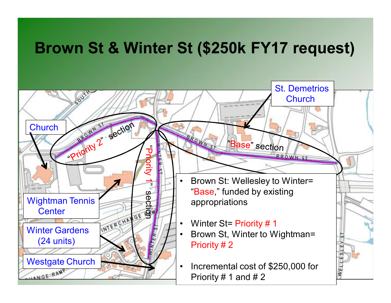#### **Brown St & Winter St (\$250k FY17 request)**

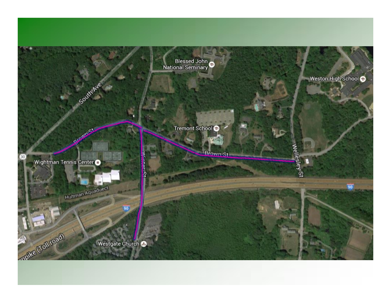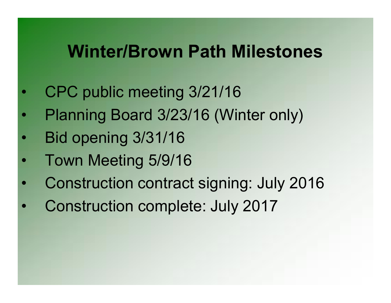### **Winter/Brown Path Milestones**

- CPC public meeting 3/21/16
- Planning Board 3/23/16 (Winter only)
- Bid opening 3/31/16
- Town Meeting 5/9/16
- Construction contract signing: July 2016
- Construction complete: July 2017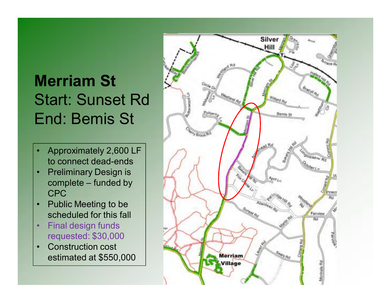# **Merriam St** Start: Sunset Rd End: Bemis St

- Approximately 2,600 LF to connect dead-ends
- Preliminary Design is complete – funded by CPC
- Public Meeting to be scheduled for this fall
- Final design funds requested: \$30,000
- Construction cost estimated at \$550,000

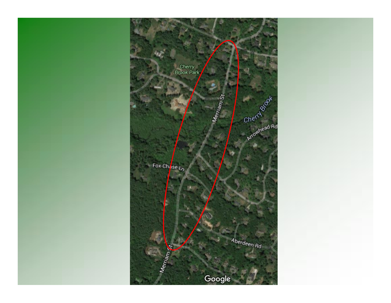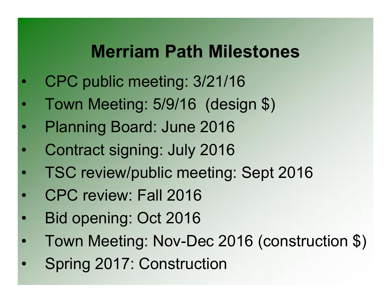### **Merriam Path Milestones**

- CPC public meeting: 3/21/16
- Town Meeting: 5/9/16 (design \$)
- Planning Board: June 2016
- Contract signing: July 2016
- TSC review/public meeting: Sept 2016
- CPC review: Fall 2016
- Bid opening: Oct 2016
- Town Meeting: Nov-Dec 2016 (construction \$)
- Spring 2017: Construction